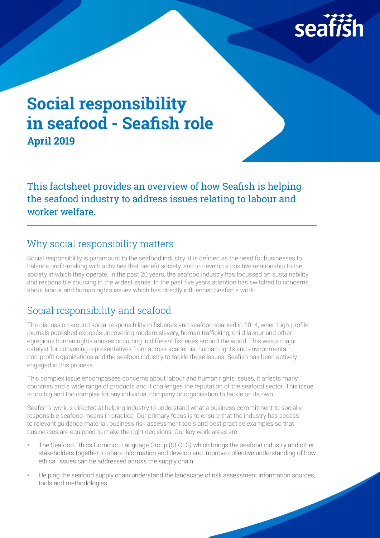

# **Social responsibility in seafood - Seafish role April 2019**

This factsheet provides an overview of how Seafish is helping the seafood industry to address issues relating to labour and worker welfare.

# Why social responsibility matters

Social responsibility is paramount to the seafood industry; it is defined as the need for businesses to balance profit-making with activities that benefit society, and to develop a positive relationship to the society in which they operate. In the past 20 years, the seafood industry has focussed on sustainability and responsible sourcing in the widest sense. In the past five years attention has switched to concerns about labour and human rights issues which has directly influenced Seafish's work.

# Social responsibility and seafood

The discussion around social responsibility in fisheries and seafood sparked in 2014, when high-profile journals published exposés uncovering modern slavery, human trafficking, child labour and other egregious human rights abuses occurring in different fisheries around the world. This was a major catalyst for convening representatives from across academia, human rights and environmental non-profit organizations and the seafood industry to tackle these issues. Seafish has been actively engaged in this process.

This complex issue encompasses concerns about labour and human rights issues, it affects many countries and a wide range of products and it challenges the reputation of the seafood sector. This issue is too big and too complex for any individual company or organisation to tackle on its own.

Seafish's work is directed at helping industry to understand what a business commitment to socially responsible seafood means in practice. Our primary focus is to ensure that the industry has access to relevant guidance material, business risk assessment tools and best practice examples so that businesses are equipped to make the right decisions. Our key work areas are:

- The Seafood Ethics Common Language Group (SECLG) which brings the seafood industry and other stakeholders together to share information and develop and improve collective understanding of how ethical issues can be addressed across the supply chain.
- Helping the seafood supply chain understand the landscape of risk assessment information sources, tools and methodologies.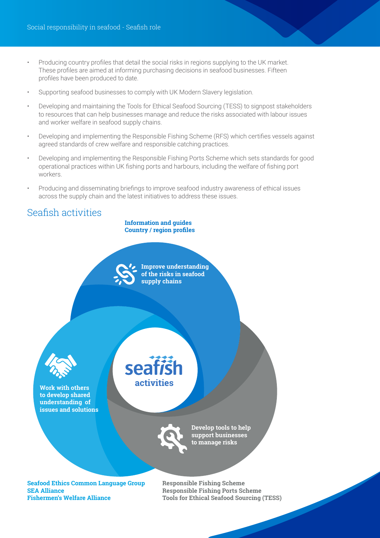- Producing country profiles that detail the social risks in regions supplying to the UK market. These profiles are aimed at informing purchasing decisions in seafood businesses. Fifteen profiles have been produced to date.
- Supporting seafood businesses to comply with UK Modern Slavery legislation.
- Developing and maintaining the Tools for Ethical Seafood Sourcing (TESS) to signpost stakeholders to resources that can help businesses manage and reduce the risks associated with labour issues and worker welfare in seafood supply chains.
- Developing and implementing the Responsible Fishing Scheme (RFS) which certifies vessels against agreed standards of crew welfare and responsible catching practices.
- Developing and implementing the Responsible Fishing Ports Scheme which sets standards for good operational practices within UK fishing ports and harbours, including the welfare of fishing port workers.
- Producing and disseminating briefings to improve seafood industry awareness of ethical issues across the supply chain and the latest initiatives to address these issues.

# Seafish activities

**Information and guides Country / region profiles**

> **Improve understanding of the risks in seafood supply chains**



**Work with others to develop shared understanding of issues and solutions**



**activities**

seaf

**Develop tools to help support businesses to manage risks**

**Seafood Ethics Common Language Group SEA Alliance Fishermen's Welfare Alliance**

**Responsible Fishing Scheme Responsible Fishing Ports Scheme Tools for Ethical Seafood Sourcing (TESS)**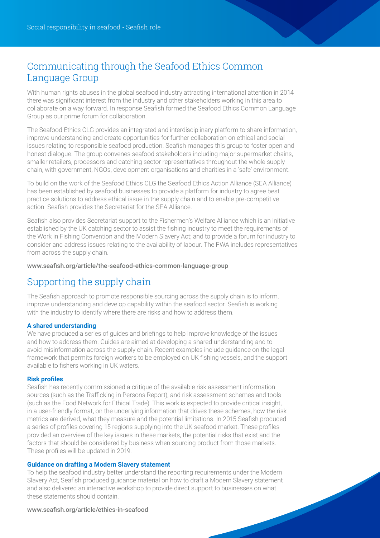# Communicating through the Seafood Ethics Common Language Group

With human rights abuses in the global seafood industry attracting international attention in 2014 there was significant interest from the industry and other stakeholders working in this area to collaborate on a way forward. In response Seafish formed the Seafood Ethics Common Language Group as our prime forum for collaboration.

The Seafood Ethics CLG provides an integrated and interdisciplinary platform to share information, improve understanding and create opportunities for further collaboration on ethical and social issues relating to responsible seafood production. Seafish manages this group to foster open and honest dialogue. The group convenes seafood stakeholders including major supermarket chains, smaller retailers, processors and catching sector representatives throughout the whole supply chain, with government, NGOs, development organisations and charities in a 'safe' environment.

To build on the work of the Seafood Ethics CLG the Seafood Ethics Action Alliance (SEA Alliance) has been established by seafood businesses to provide a platform for industry to agree best practice solutions to address ethical issue in the supply chain and to enable pre-competitive action. Seafish provides the Secretariat for the SEA Alliance.

Seafish also provides Secretariat support to the Fishermen's Welfare Alliance which is an initiative established by the UK catching sector to assist the fishing industry to meet the requirements of the Work in Fishing Convention and the Modern Slavery Act; and to provide a forum for industry to consider and address issues relating to the availability of labour. The FWA includes representatives from across the supply chain.

## www.seafish.org/article/the-seafood-ethics-common-language-group

# Supporting the supply chain

The Seafish approach to promote responsible sourcing across the supply chain is to inform, improve understanding and develop capability within the seafood sector. Seafish is working with the industry to identify where there are risks and how to address them.

# **A shared understanding**

We have produced a series of guides and briefings to help improve knowledge of the issues and how to address them. Guides are aimed at developing a shared understanding and to avoid misinformation across the supply chain. Recent examples include guidance on the legal framework that permits foreign workers to be employed on UK fishing vessels, and the support available to fishers working in UK waters.

### **Risk profiles**

Seafish has recently commissioned a critique of the available risk assessment information sources (such as the Trafficking in Persons Report), and risk assessment schemes and tools (such as the Food Network for Ethical Trade). This work is expected to provide critical insight, in a user-friendly format, on the underlying information that drives these schemes, how the risk metrics are derived, what they measure and the potential limitations. In 2015 Seafish produced a series of profiles covering 15 regions supplying into the UK seafood market. These profiles provided an overview of the key issues in these markets, the potential risks that exist and the factors that should be considered by business when sourcing product from those markets. These profiles will be updated in 2019.

### **Guidance on drafting a Modern Slavery statement**

To help the seafood industry better understand the reporting requirements under the Modern Slavery Act, Seafish produced guidance material on how to draft a Modern Slavery statement and also delivered an interactive workshop to provide direct support to businesses on what these statements should contain.

### www.seafish.org/article/ethics-in-seafood